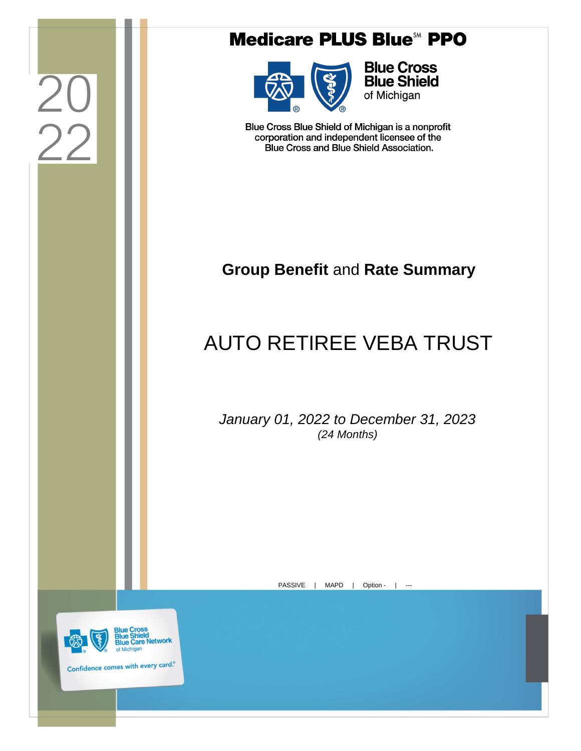|                                                                           | <b>Medicare PLUS Blue<sup>5M</sup> PPO</b>                                                                                                         |
|---------------------------------------------------------------------------|----------------------------------------------------------------------------------------------------------------------------------------------------|
|                                                                           | <b>Blue Cross</b><br><b>Blue Shield</b><br>of Michigan                                                                                             |
|                                                                           | Blue Cross Blue Shield of Michigan is a nonprofit<br>corporation and independent licensee of the<br><b>Blue Cross and Blue Shield Association.</b> |
|                                                                           |                                                                                                                                                    |
|                                                                           | <b>Group Benefit and Rate Summary</b>                                                                                                              |
|                                                                           | <b>AUTO RETIREE VEBA TRUST</b>                                                                                                                     |
|                                                                           | January 01, 2022 to December 31, 2023<br>(24 Months)                                                                                               |
|                                                                           |                                                                                                                                                    |
|                                                                           | <b>PASSIVE</b><br><b>MAPD</b><br>Option -<br>$---$                                                                                                 |
|                                                                           |                                                                                                                                                    |
| ue Cross<br>of Michigan<br>Confidence comes with every card. <sup>®</sup> | <b>Blue Care Network</b>                                                                                                                           |
|                                                                           |                                                                                                                                                    |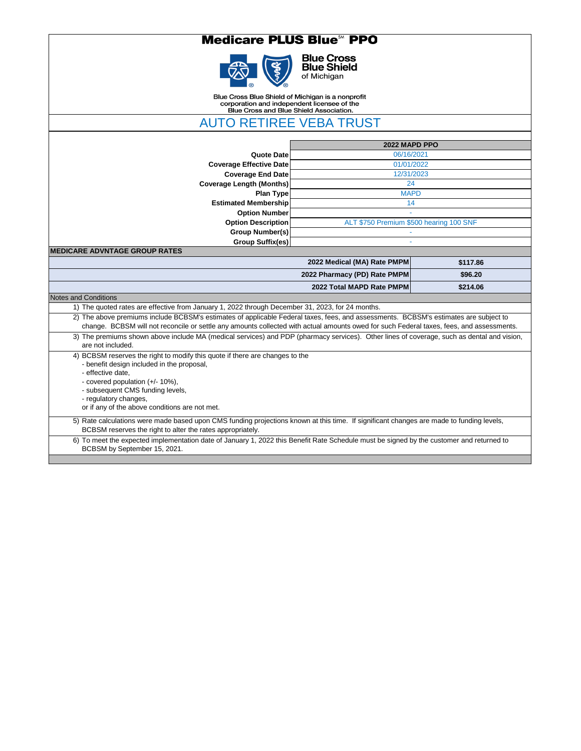#### **Medicare PLUS Blue<sup>50</sup> PPO**



**Blue Cross<br>Blue Shield**<br>of Michigan

Blue Cross Blue Shield of Michigan is a nonprofit<br>corporation and independent licensee of the<br>Blue Cross and Blue Shield Association.

AUTO RETIREE VEBA TRUST

|                                                                                                                                                                                                                                                                                                   | 2022 MAPD PPO                           |          |
|---------------------------------------------------------------------------------------------------------------------------------------------------------------------------------------------------------------------------------------------------------------------------------------------------|-----------------------------------------|----------|
| <b>Quote Date</b>                                                                                                                                                                                                                                                                                 | 06/16/2021                              |          |
| <b>Coverage Effective Date</b>                                                                                                                                                                                                                                                                    | 01/01/2022                              |          |
| <b>Coverage End Date</b>                                                                                                                                                                                                                                                                          | 12/31/2023                              |          |
| <b>Coverage Length (Months)</b>                                                                                                                                                                                                                                                                   | 24                                      |          |
| <b>Plan Type</b>                                                                                                                                                                                                                                                                                  | <b>MAPD</b>                             |          |
| <b>Estimated Membership</b>                                                                                                                                                                                                                                                                       | 14                                      |          |
| <b>Option Number</b>                                                                                                                                                                                                                                                                              |                                         |          |
| <b>Option Description</b>                                                                                                                                                                                                                                                                         | ALT \$750 Premium \$500 hearing 100 SNF |          |
| <b>Group Number(s)</b>                                                                                                                                                                                                                                                                            |                                         |          |
| <b>Group Suffix(es)</b>                                                                                                                                                                                                                                                                           |                                         |          |
| <b>MEDICARE ADVNTAGE GROUP RATES</b>                                                                                                                                                                                                                                                              |                                         |          |
|                                                                                                                                                                                                                                                                                                   | 2022 Medical (MA) Rate PMPM             | \$117.86 |
|                                                                                                                                                                                                                                                                                                   | 2022 Pharmacy (PD) Rate PMPM            | \$96.20  |
|                                                                                                                                                                                                                                                                                                   | 2022 Total MAPD Rate PMPM               | \$214.06 |
| <b>Notes and Conditions</b>                                                                                                                                                                                                                                                                       |                                         |          |
| 1) The quoted rates are effective from January 1, 2022 through December 31, 2023, for 24 months.                                                                                                                                                                                                  |                                         |          |
| 2) The above premiums include BCBSM's estimates of applicable Federal taxes, fees, and assessments. BCBSM's estimates are subject to<br>change. BCBSM will not reconcile or settle any amounts collected with actual amounts owed for such Federal taxes, fees, and assessments.                  |                                         |          |
| 3) The premiums shown above include MA (medical services) and PDP (pharmacy services). Other lines of coverage, such as dental and vision,<br>are not included.                                                                                                                                   |                                         |          |
| 4) BCBSM reserves the right to modify this quote if there are changes to the<br>- benefit design included in the proposal,<br>- effective date,<br>- covered population (+/- 10%),<br>- subsequent CMS funding levels,<br>- regulatory changes,<br>or if any of the above conditions are not met. |                                         |          |

6) To meet the expected implementation date of January 1, 2022 this Benefit Rate Schedule must be signed by the customer and returned to BCBSM by September 15, 2021.

BCBSM reserves the right to alter the rates appropriately.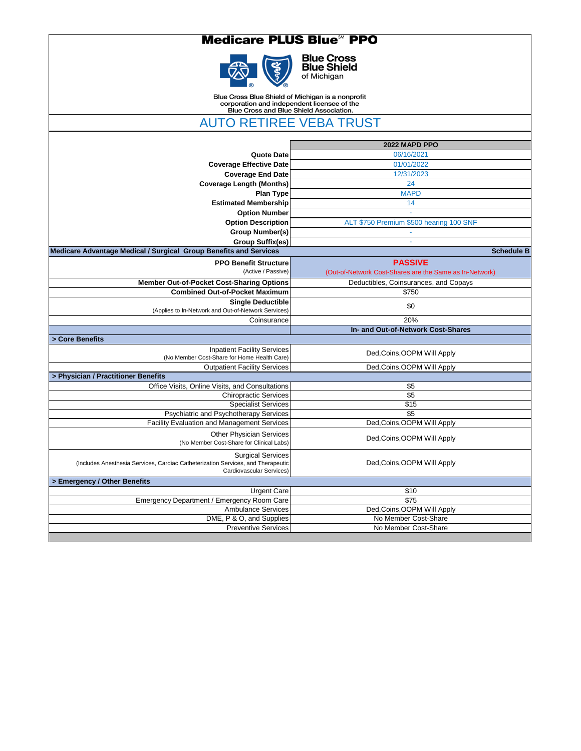### **Medicare PLUS Blue<sup>58</sup> PPO**



**Blue Cross<br>Blue Shield**<br>of Michigan

Blue Cross Blue Shield of Michigan is a nonprofit<br>corporation and independent licensee of the<br>Blue Cross and Blue Shield Association.

AUTO RETIREE VEBA TRUST

|                                                                                                              | 2022 MAPD PPO                                           |
|--------------------------------------------------------------------------------------------------------------|---------------------------------------------------------|
| <b>Quote Date</b>                                                                                            | 06/16/2021                                              |
| <b>Coverage Effective Date</b>                                                                               | 01/01/2022                                              |
| <b>Coverage End Date</b>                                                                                     | 12/31/2023                                              |
| <b>Coverage Length (Months)</b>                                                                              | 24                                                      |
| <b>Plan Type</b>                                                                                             | <b>MAPD</b>                                             |
| <b>Estimated Membership</b>                                                                                  | 14                                                      |
| <b>Option Number</b>                                                                                         |                                                         |
| <b>Option Description</b>                                                                                    | ALT \$750 Premium \$500 hearing 100 SNF                 |
| <b>Group Number(s)</b>                                                                                       |                                                         |
| <b>Group Suffix(es)</b>                                                                                      |                                                         |
| <b>Medicare Advantage Medical / Surgical Group Benefits and Services</b>                                     | <b>Schedule B</b>                                       |
| <b>PPO Benefit Structure</b>                                                                                 | <b>PASSIVE</b>                                          |
| (Active / Passive)                                                                                           | (Out-of-Network Cost-Shares are the Same as In-Network) |
| <b>Member Out-of-Pocket Cost-Sharing Options</b>                                                             | Deductibles, Coinsurances, and Copays                   |
| <b>Combined Out-of-Pocket Maximum</b>                                                                        | \$750                                                   |
| <b>Single Deductible</b>                                                                                     | \$0                                                     |
| (Applies to In-Network and Out-of-Network Services)                                                          |                                                         |
| Coinsurance                                                                                                  | 20%                                                     |
|                                                                                                              | In- and Out-of-Network Cost-Shares                      |
| > Core Benefits                                                                                              |                                                         |
| <b>Inpatient Facility Services</b>                                                                           | Ded, Coins, OOPM Will Apply                             |
| (No Member Cost-Share for Home Health Care)                                                                  |                                                         |
| <b>Outpatient Facility Services</b><br>> Physician / Practitioner Benefits                                   | Ded, Coins, OOPM Will Apply                             |
| Office Visits, Online Visits, and Consultations                                                              | \$5                                                     |
| <b>Chiropractic Services</b>                                                                                 | \$5                                                     |
| Specialist Services                                                                                          | \$15                                                    |
| <b>Psychiatric and Psychotherapy Services</b>                                                                | \$5                                                     |
| <b>Facility Evaluation and Management Services</b>                                                           | Ded, Coins, OOPM Will Apply                             |
|                                                                                                              |                                                         |
| <b>Other Physician Services</b><br>(No Member Cost-Share for Clinical Labs)                                  | Ded, Coins, OOPM Will Apply                             |
|                                                                                                              |                                                         |
| <b>Surgical Services</b>                                                                                     |                                                         |
| (Includes Anesthesia Services, Cardiac Catheterization Services, and Therapeutic<br>Cardiovascular Services) | Ded, Coins, OOPM Will Apply                             |
| > Emergency / Other Benefits                                                                                 |                                                         |
| <b>Urgent Care</b>                                                                                           | \$10                                                    |
| Emergency Department / Emergency Room Care                                                                   | \$75                                                    |
| <b>Ambulance Services</b>                                                                                    | Ded, Coins, OOPM Will Apply                             |
| DME, P & O, and Supplies                                                                                     | No Member Cost-Share                                    |
| <b>Preventive Services</b>                                                                                   | No Member Cost-Share                                    |
|                                                                                                              |                                                         |

|  | ו וטעטומעט טטו עוטטטו | <b>TYO IVIGHTOGE OUGL OHIGHT</b> |
|--|-----------------------|----------------------------------|
|  |                       |                                  |
|  |                       |                                  |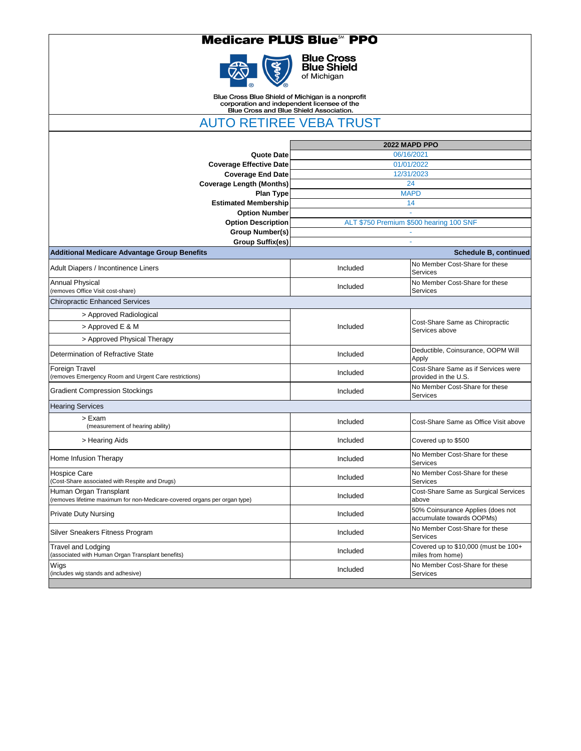## **Medicare PLUS Blue<sup>5M</sup> PPO**



**Blue Cross<br>Blue Shield**<br>of Michigan

Blue Cross Blue Shield of Michigan is a nonprofit<br>corporation and independent licensee of the<br>Blue Cross and Blue Shield Association.

AUTO RETIREE VEBA TRUST

|                                                                                                     |          | 2022 MAPD PPO                                                  |
|-----------------------------------------------------------------------------------------------------|----------|----------------------------------------------------------------|
| <b>Quote Date</b>                                                                                   |          | 06/16/2021                                                     |
| <b>Coverage Effective Date</b>                                                                      |          | 01/01/2022                                                     |
| <b>Coverage End Date</b>                                                                            |          | 12/31/2023                                                     |
| <b>Coverage Length (Months)</b>                                                                     |          | 24                                                             |
| <b>Plan Type</b><br><b>Estimated Membership</b>                                                     |          | <b>MAPD</b><br>14                                              |
| <b>Option Number</b>                                                                                |          |                                                                |
| <b>Option Description</b>                                                                           |          | ALT \$750 Premium \$500 hearing 100 SNF                        |
| <b>Group Number(s)</b>                                                                              |          |                                                                |
| Group Suffix(es)                                                                                    |          | $\blacksquare$                                                 |
| <b>Additional Medicare Advantage Group Benefits</b>                                                 |          | <b>Schedule B, continued</b>                                   |
| Adult Diapers / Incontinence Liners                                                                 | Included | No Member Cost-Share for these<br>Services                     |
| <b>Annual Physical</b><br>(removes Office Visit cost-share)                                         | Included | No Member Cost-Share for these<br>Services                     |
| <b>Chiropractic Enhanced Services</b>                                                               |          |                                                                |
| > Approved Radiological                                                                             |          |                                                                |
| > Approved E & M                                                                                    | Included | Cost-Share Same as Chiropractic<br>Services above              |
| > Approved Physical Therapy                                                                         |          |                                                                |
| Determination of Refractive State                                                                   | Included | Deductible, Coinsurance, OOPM Will<br>Apply                    |
| <b>Foreign Travel</b><br>(removes Emergency Room and Urgent Care restrictions)                      | Included | Cost-Share Same as if Services were<br>provided in the U.S.    |
| <b>Gradient Compression Stockings</b>                                                               | Included | No Member Cost-Share for these<br>Services                     |
| <b>Hearing Services</b>                                                                             |          |                                                                |
| > Exam<br>(measurement of hearing ability)                                                          | Included | Cost-Share Same as Office Visit above                          |
| > Hearing Aids                                                                                      | Included | Covered up to \$500                                            |
| <b>Home Infusion Therapy</b>                                                                        | Included | No Member Cost-Share for these<br><b>Services</b>              |
| <b>Hospice Care</b><br>(Cost-Share associated with Respite and Drugs)                               | Included | No Member Cost-Share for these<br><b>Services</b>              |
| Human Organ Transplant<br>(removes lifetime maximum for non-Medicare-covered organs per organ type) | Included | Cost-Share Same as Surgical Services<br>above                  |
| <b>Private Duty Nursing</b>                                                                         | Included | 50% Coinsurance Applies (does not<br>accumulate towards OOPMs) |
| Silver Sneakers Fitness Program                                                                     | Included | No Member Cost-Share for these<br><b>Services</b>              |
| <b>Travel and Lodging</b><br>(associated with Human Organ Transplant benefits)                      | Included | Covered up to \$10,000 (must be 100+<br>miles from home)       |
| Wigs<br>(includes wig stands and adhesive)                                                          | Included | No Member Cost-Share for these<br><b>Services</b>              |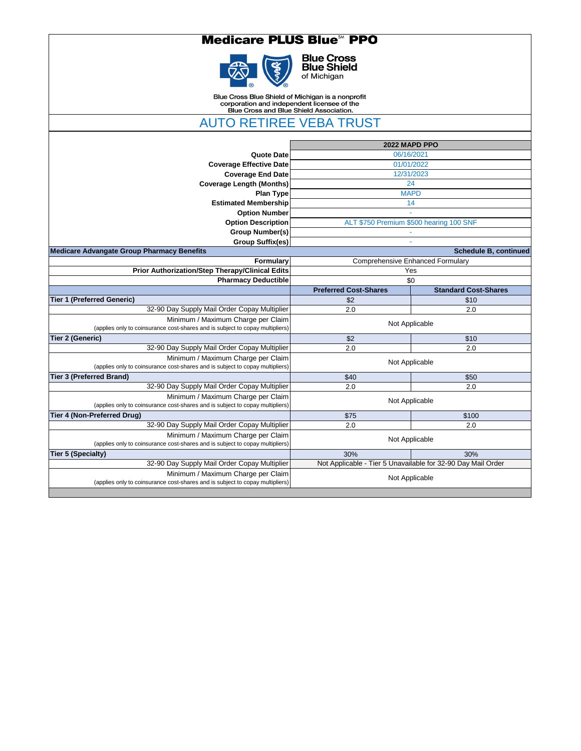### **Medicare PLUS Blue<sup>58</sup> PPO**



**Blue Cross<br>Blue Shield**<br>of Michigan

Blue Cross Blue Shield of Michigan is a nonprofit<br>corporation and independent licensee of the<br>Blue Cross and Blue Shield Association.

**AUTO RETIREE VEBA TRUST** 

| 2022 MAPD PPO<br>06/16/2021<br>01/01/2022<br>12/31/2023<br>24<br><b>MAPD</b><br>14 |                              |
|------------------------------------------------------------------------------------|------------------------------|
|                                                                                    |                              |
|                                                                                    |                              |
|                                                                                    |                              |
|                                                                                    |                              |
|                                                                                    |                              |
|                                                                                    |                              |
|                                                                                    |                              |
|                                                                                    |                              |
| ALT \$750 Premium \$500 hearing 100 SNF                                            |                              |
|                                                                                    |                              |
|                                                                                    |                              |
|                                                                                    | <b>Schedule B, continued</b> |
| <b>Comprehensive Enhanced Formulary</b>                                            |                              |
| Yes                                                                                |                              |
| \$0                                                                                |                              |
| <b>Preferred Cost-Shares</b>                                                       | <b>Standard Cost-Shares</b>  |
| \$2                                                                                | \$10                         |
| 2.0                                                                                | 2.0                          |
| Not Applicable                                                                     |                              |
| \$2                                                                                | \$10                         |
| 2.0                                                                                | 2.0                          |
| Not Applicable                                                                     |                              |
| \$40                                                                               | \$50                         |
| 2.0                                                                                | 2.0                          |
| Not Applicable                                                                     |                              |
| \$75                                                                               | \$100                        |
| 2.0                                                                                | 2.0                          |
| Not Applicable                                                                     |                              |
| 30%                                                                                | 30%                          |
| Not Applicable - Tier 5 Unavailable for 32-90 Day Mail Order                       |                              |
| Not Applicable                                                                     |                              |
|                                                                                    |                              |